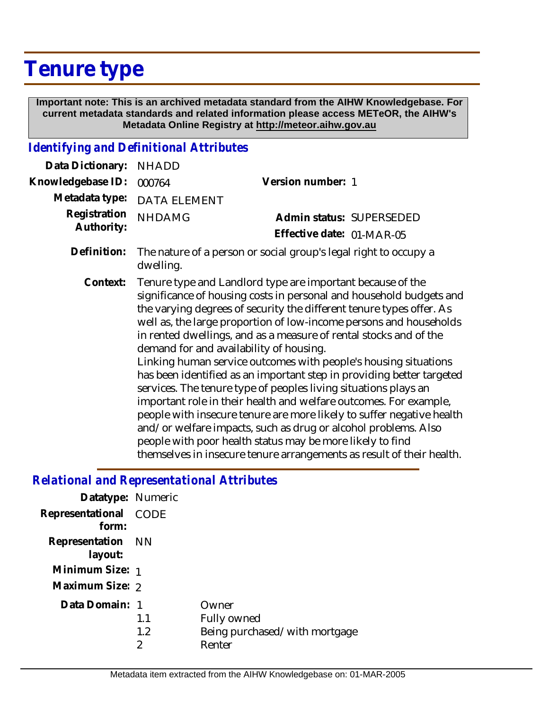## **Tenure type**

 **Important note: This is an archived metadata standard from the AIHW Knowledgebase. For current metadata standards and related information please access METeOR, the AIHW's Metadata Online Registry at http://meteor.aihw.gov.au**

## *Identifying and Definitional Attributes*

| Data Dictionary:           | <b>NHADD</b>                                                                                                                                                                                                                                                                                                                                                                                                                                                                                                                                                                                                                                                                                                                                                                                                                                                                                                                                                         |                                                                  |
|----------------------------|----------------------------------------------------------------------------------------------------------------------------------------------------------------------------------------------------------------------------------------------------------------------------------------------------------------------------------------------------------------------------------------------------------------------------------------------------------------------------------------------------------------------------------------------------------------------------------------------------------------------------------------------------------------------------------------------------------------------------------------------------------------------------------------------------------------------------------------------------------------------------------------------------------------------------------------------------------------------|------------------------------------------------------------------|
| Knowledgebase ID:          | 000764                                                                                                                                                                                                                                                                                                                                                                                                                                                                                                                                                                                                                                                                                                                                                                                                                                                                                                                                                               | Version number: 1                                                |
| Metadata type:             | <b>DATA ELEMENT</b>                                                                                                                                                                                                                                                                                                                                                                                                                                                                                                                                                                                                                                                                                                                                                                                                                                                                                                                                                  |                                                                  |
| Registration<br>Authority: | <b>NHDAMG</b>                                                                                                                                                                                                                                                                                                                                                                                                                                                                                                                                                                                                                                                                                                                                                                                                                                                                                                                                                        | Admin status: SUPERSEDED<br>Effective date: 01-MAR-05            |
| Definition:                | dwelling.                                                                                                                                                                                                                                                                                                                                                                                                                                                                                                                                                                                                                                                                                                                                                                                                                                                                                                                                                            | The nature of a person or social group's legal right to occupy a |
| Context:                   | Tenure type and Landlord type are important because of the<br>significance of housing costs in personal and household budgets and<br>the varying degrees of security the different tenure types offer. As<br>well as, the large proportion of low-income persons and households<br>in rented dwellings, and as a measure of rental stocks and of the<br>demand for and availability of housing.<br>Linking human service outcomes with people's housing situations<br>has been identified as an important step in providing better targeted<br>services. The tenure type of peoples living situations plays an<br>important role in their health and welfare outcomes. For example,<br>people with insecure tenure are more likely to suffer negative health<br>and/or welfare impacts, such as drug or alcohol problems. Also<br>people with poor health status may be more likely to find<br>themselves in insecure tenure arrangements as result of their health. |                                                                  |

## *Relational and Representational Attributes*

| Datatype: Numeric              |                 |                                                                 |
|--------------------------------|-----------------|-----------------------------------------------------------------|
| Representational CODE<br>form: |                 |                                                                 |
| Representation NN<br>layout:   |                 |                                                                 |
| Minimum Size: 1                |                 |                                                                 |
| Maximum Size: 2                |                 |                                                                 |
| Data Domain: 1                 | 1.1<br>1.2<br>2 | Owner<br>Fully owned<br>Being purchased/with mortgage<br>Renter |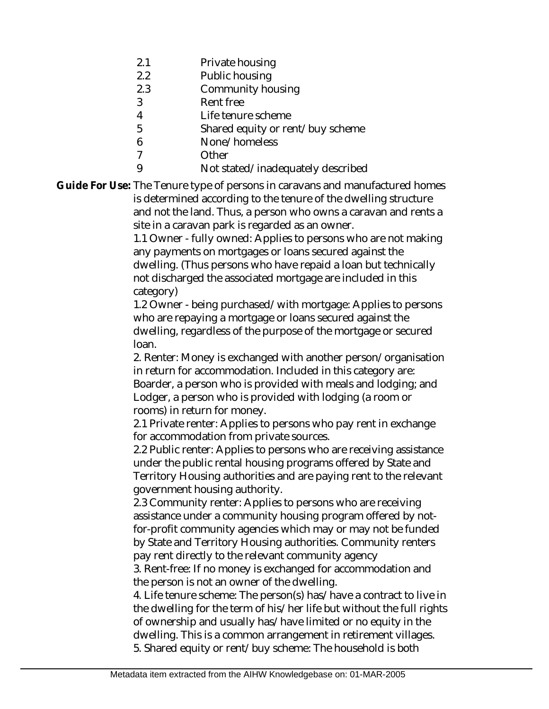- 2.1 Private housing
- 2.2 Public housing
- 2.3 Community housing
- 3 Rent free
- 4 Life tenure scheme
- 5 Shared equity or rent/buy scheme
- 6 None/homeless
- 7 **Other**
- 9 Not stated/inadequately described

Guide For Use: The Tenure type of persons in caravans and manufactured homes is determined according to the tenure of the dwelling structure and not the land. Thus, a person who owns a caravan and rents a site in a caravan park is regarded as an owner.

> 1.1 Owner - fully owned: Applies to persons who are not making any payments on mortgages or loans secured against the dwelling. (Thus persons who have repaid a loan but technically not discharged the associated mortgage are included in this category)

> 1.2 Owner - being purchased/with mortgage: Applies to persons who are repaying a mortgage or loans secured against the dwelling, regardless of the purpose of the mortgage or secured loan.

> 2. Renter: Money is exchanged with another person/organisation in return for accommodation. Included in this category are: Boarder, a person who is provided with meals and lodging; and Lodger, a person who is provided with lodging (a room or rooms) in return for money.

2.1 Private renter: Applies to persons who pay rent in exchange for accommodation from private sources.

2.2 Public renter: Applies to persons who are receiving assistance under the public rental housing programs offered by State and Territory Housing authorities and are paying rent to the relevant government housing authority.

2.3 Community renter: Applies to persons who are receiving assistance under a community housing program offered by notfor-profit community agencies which may or may not be funded by State and Territory Housing authorities. Community renters pay rent directly to the relevant community agency

3. Rent-free: If no money is exchanged for accommodation and the person is not an owner of the dwelling.

4. Life tenure scheme: The person(s) has/have a contract to live in the dwelling for the term of his/her life but without the full rights of ownership and usually has/have limited or no equity in the dwelling. This is a common arrangement in retirement villages. 5. Shared equity or rent/buy scheme: The household is both